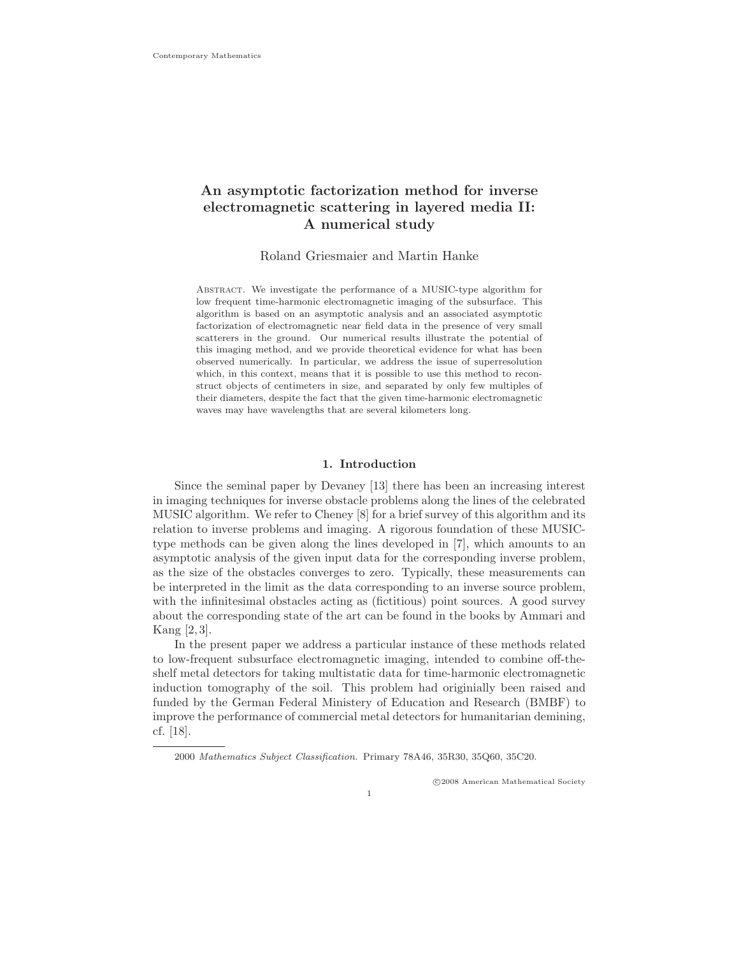# An asymptotic factorization method for inverse electromagnetic scattering in layered media II: A numerical study

Roland Griesmaier and Martin Hanke

Abstract. We investigate the performance of a MUSIC-type algorithm for low frequent time-harmonic electromagnetic imaging of the subsurface. This algorithm is based on an asymptotic analysis and an associated asymptotic factorization of electromagnetic near field data in the presence of very small scatterers in the ground. Our numerical results illustrate the potential of this imaging method, and we provide theoretical evidence for what has been observed numerically. In particular, we address the issue of superresolution which, in this context, means that it is possible to use this method to reconstruct objects of centimeters in size, and separated by only few multiples of their diameters, despite the fact that the given time-harmonic electromagnetic waves may have wavelengths that are several kilometers long.

#### 1. Introduction

Since the seminal paper by Devaney [13] there has been an increasing interest in imaging techniques for inverse obstacle problems along the lines of the celebrated MUSIC algorithm. We refer to Cheney [8] for a brief survey of this algorithm and its relation to inverse problems and imaging. A rigorous foundation of these MUSICtype methods can be given along the lines developed in [7], which amounts to an asymptotic analysis of the given input data for the corresponding inverse problem, as the size of the obstacles converges to zero. Typically, these measurements can be interpreted in the limit as the data corresponding to an inverse source problem, with the infinitesimal obstacles acting as (fictitious) point sources. A good survey about the corresponding state of the art can be found in the books by Ammari and Kang [2, 3].

In the present paper we address a particular instance of these methods related to low-frequent subsurface electromagnetic imaging, intended to combine off-theshelf metal detectors for taking multistatic data for time-harmonic electromagnetic induction tomography of the soil. This problem had originially been raised and funded by the German Federal Ministery of Education and Research (BMBF) to improve the performance of commercial metal detectors for humanitarian demining, cf. [18].

c 2008 American Mathematical Society

<sup>2000</sup> *Mathematics Subject Classification.* Primary 78A46, 35R30, 35Q60, 35C20.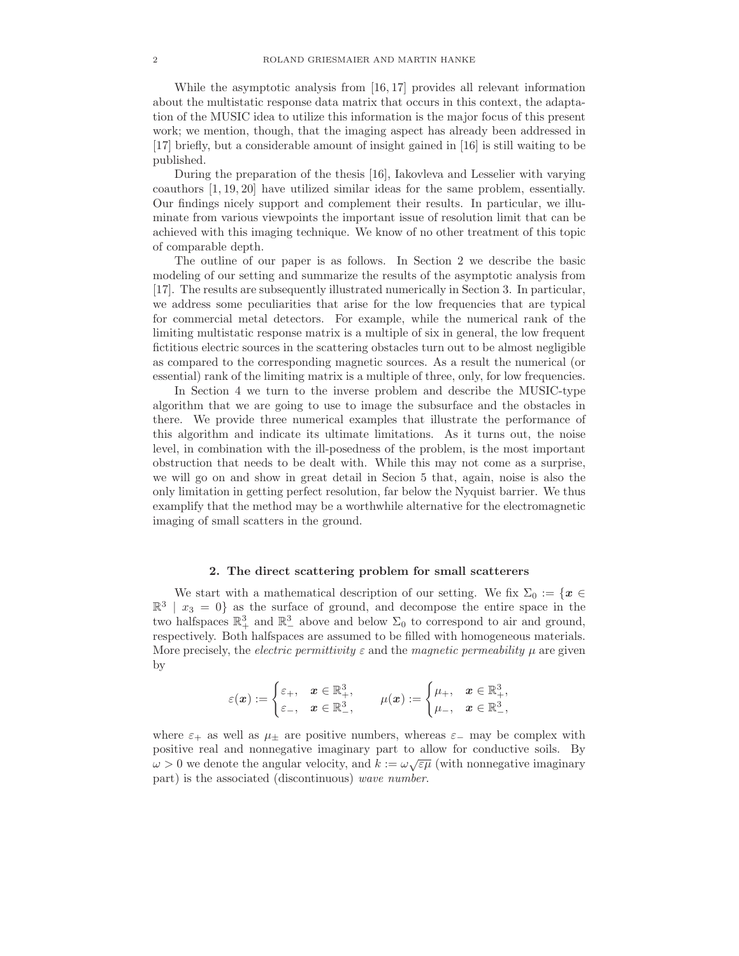While the asymptotic analysis from [16, 17] provides all relevant information about the multistatic response data matrix that occurs in this context, the adaptation of the MUSIC idea to utilize this information is the major focus of this present work; we mention, though, that the imaging aspect has already been addressed in [17] briefly, but a considerable amount of insight gained in [16] is still waiting to be published.

During the preparation of the thesis [16], Iakovleva and Lesselier with varying coauthors [1, 19, 20] have utilized similar ideas for the same problem, essentially. Our findings nicely support and complement their results. In particular, we illuminate from various viewpoints the important issue of resolution limit that can be achieved with this imaging technique. We know of no other treatment of this topic of comparable depth.

The outline of our paper is as follows. In Section 2 we describe the basic modeling of our setting and summarize the results of the asymptotic analysis from [17]. The results are subsequently illustrated numerically in Section 3. In particular, we address some peculiarities that arise for the low frequencies that are typical for commercial metal detectors. For example, while the numerical rank of the limiting multistatic response matrix is a multiple of six in general, the low frequent fictitious electric sources in the scattering obstacles turn out to be almost negligible as compared to the corresponding magnetic sources. As a result the numerical (or essential) rank of the limiting matrix is a multiple of three, only, for low frequencies.

In Section 4 we turn to the inverse problem and describe the MUSIC-type algorithm that we are going to use to image the subsurface and the obstacles in there. We provide three numerical examples that illustrate the performance of this algorithm and indicate its ultimate limitations. As it turns out, the noise level, in combination with the ill-posedness of the problem, is the most important obstruction that needs to be dealt with. While this may not come as a surprise, we will go on and show in great detail in Secion 5 that, again, noise is also the only limitation in getting perfect resolution, far below the Nyquist barrier. We thus examplify that the method may be a worthwhile alternative for the electromagnetic imaging of small scatters in the ground.

### 2. The direct scattering problem for small scatterers

We start with a mathematical description of our setting. We fix  $\Sigma_0 := \{x \in$  $\mathbb{R}^3$  |  $x_3 = 0$ } as the surface of ground, and decompose the entire space in the two halfspaces  $\mathbb{R}^3_+$  and  $\mathbb{R}^3_-$  above and below  $\Sigma_0$  to correspond to air and ground, respectively. Both halfspaces are assumed to be filled with homogeneous materials. More precisely, the *electric permittivity*  $\varepsilon$  and the *magnetic permeability*  $\mu$  are given by

$$
\varepsilon(\boldsymbol{x}):=\begin{cases} \varepsilon_+,& \boldsymbol{x}\in\mathbb{R}^3_+,\\ \varepsilon_-,& \boldsymbol{x}\in\mathbb{R}^3_-, \end{cases}\qquad \mu(\boldsymbol{x}):=\begin{cases} \mu_+,& \boldsymbol{x}\in\mathbb{R}^3_+,\\ \mu_-,& \boldsymbol{x}\in\mathbb{R}^3_-, \end{cases}
$$

where  $\varepsilon_+$  as well as  $\mu_{\pm}$  are positive numbers, whereas  $\varepsilon_-$  may be complex with positive real and nonnegative imaginary part to allow for conductive soils. By  $\omega > 0$  we denote the angular velocity, and  $k := \omega \sqrt{\varepsilon \mu}$  (with nonnegative imaginary part) is the associated (discontinuous) wave number.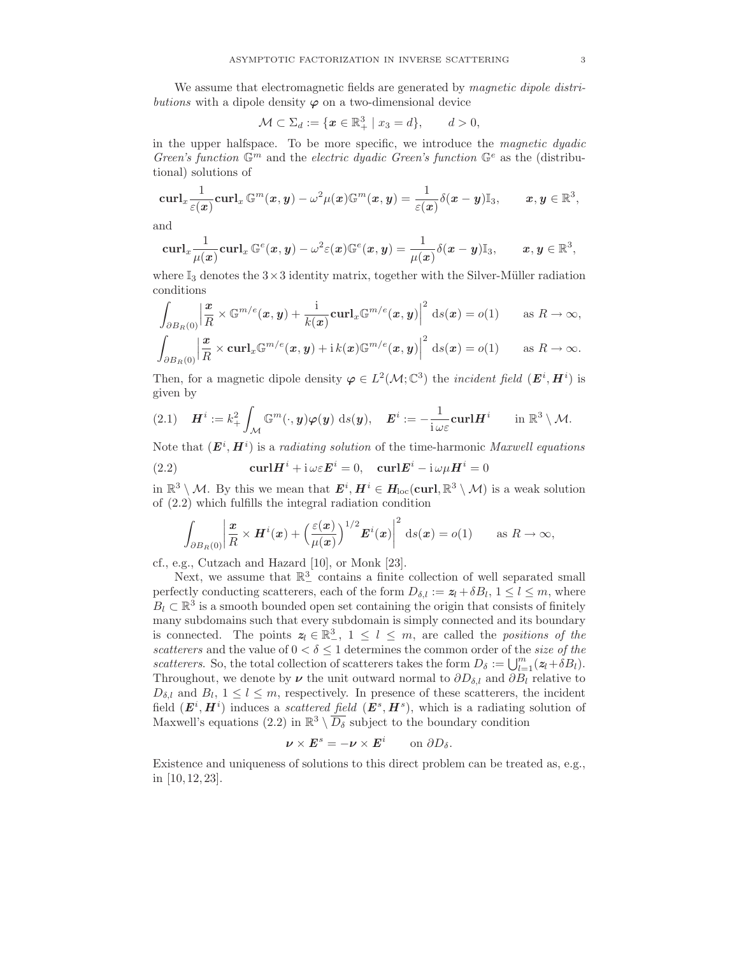We assume that electromagnetic fields are generated by *magnetic dipole distri*butions with a dipole density  $\varphi$  on a two-dimensional device

$$
\mathcal{M} \subset \Sigma_d := \{ \boldsymbol{x} \in \mathbb{R}_+^3 \mid x_3 = d \}, \qquad d > 0,
$$

in the upper halfspace. To be more specific, we introduce the magnetic dyadic Green's function  $\mathbb{G}^m$  and the electric dyadic Green's function  $\mathbb{G}^e$  as the (distributional) solutions of

$$
\operatorname{{\bf curl}}_{x}\frac{1}{\varepsilon({\boldsymbol x})}\operatorname{{\bf curl}}_{x}\mathbb G^m({\boldsymbol x},{\boldsymbol y})-\omega^2\mu({\boldsymbol x})\mathbb G^m({\boldsymbol x},{\boldsymbol y})=\frac{1}{\varepsilon({\boldsymbol x})}\delta({\boldsymbol x}-{\boldsymbol y})\mathbb I_3,\qquad {\boldsymbol x},{\boldsymbol y}\in\mathbb R^3,
$$

and

$$
\operatorname{{\bf curl}}_{x} \frac{1}{\mu({\boldsymbol x})} \operatorname{{\bf curl}}_{x} \mathbb{G}^e({\boldsymbol x}, {\boldsymbol y}) - \omega^2 \varepsilon({\boldsymbol x}) \mathbb{G}^e({\boldsymbol x}, {\boldsymbol y}) = \frac{1}{\mu({\boldsymbol x})} \delta({\boldsymbol x}-{\boldsymbol y}) \mathbb{I}_3, \qquad {\boldsymbol x}, {\boldsymbol y} \in \mathbb{R}^3,
$$

where  $\mathbb{I}_3$  denotes the  $3\times 3$  identity matrix, together with the Silver-Müller radiation conditions

$$
\int_{\partial B_R(0)} \left| \frac{x}{R} \times \mathbb{G}^{m/e}(x, y) + \frac{i}{k(x)} \mathbf{curl}_x \mathbb{G}^{m/e}(x, y) \right|^2 ds(x) = o(1) \quad \text{as } R \to \infty,
$$
\n
$$
\int_{\mathbb{G}} \left| \frac{x}{k(x)} \mathbf{curl}_x \mathbb{G}^{m/e}(x, y) + i \frac{k(x)}{k(x)} \mathbb{G}^{m/e}(x, y) \right|^2 ds(x) = o(1) \quad \text{as } R \to \infty,
$$

$$
\int_{\partial B_R(0)} \left| \frac{\mathbf{x}}{R} \times \mathbf{curl}_x \mathbb{G}^{m/e}(\mathbf{x}, \mathbf{y}) + \mathrm{i} k(\mathbf{x}) \mathbb{G}^{m/e}(\mathbf{x}, \mathbf{y}) \right|^2 \, \mathrm{d}s(\mathbf{x}) = o(1) \qquad \text{as } R \to \infty.
$$

Then, for a magnetic dipole density  $\varphi \in L^2(\mathcal{M}; \mathbb{C}^3)$  the *incident field*  $(\mathbf{E}^i, \mathbf{H}^i)$  is given by

$$
(2.1) \quad \boldsymbol{H}^i := k_+^2 \int_{\mathcal{M}} \mathbb{G}^m(\cdot, \boldsymbol{y}) \boldsymbol{\varphi}(\boldsymbol{y}) \, \mathrm{d} s(\boldsymbol{y}), \quad \boldsymbol{E}^i := -\frac{1}{i \omega \varepsilon} \mathbf{curl} \boldsymbol{H}^i \qquad \text{in } \mathbb{R}^3 \setminus \mathcal{M}.
$$

Note that  $(E^i, H^i)$  is a *radiating solution* of the time-harmonic *Maxwell equations* 

(2.2) 
$$
\mathbf{curl}\mathbf{H}^{i} + \mathbf{i}\,\omega\varepsilon\mathbf{E}^{i} = 0, \quad \mathbf{curl}\mathbf{E}^{i} - \mathbf{i}\,\omega\mu\mathbf{H}^{i} = 0
$$

in  $\mathbb{R}^3 \setminus \mathcal{M}$ . By this we mean that  $\mathbf{E}^i$ ,  $\mathbf{H}^i \in H_{\text{loc}}(\text{curl}, \mathbb{R}^3 \setminus \mathcal{M})$  is a weak solution of (2.2) which fulfills the integral radiation condition

$$
\int_{\partial B_R(0)} \left| \frac{\mathbf{x}}{R} \times \mathbf{H}^i(\mathbf{x}) + \left( \frac{\varepsilon(\mathbf{x})}{\mu(\mathbf{x})} \right)^{1/2} \mathbf{E}^i(\mathbf{x}) \right|^2 ds(\mathbf{x}) = o(1) \quad \text{as } R \to \infty,
$$

cf., e.g., Cutzach and Hazard [10], or Monk [23].

Next, we assume that  $\mathbb{R}^3$  contains a finite collection of well separated small perfectly conducting scatterers, each of the form  $D_{\delta,l} := z_l + \delta B_l, 1 \leq l \leq m$ , where  $B_l \subset \mathbb{R}^3$  is a smooth bounded open set containing the origin that consists of finitely many subdomains such that every subdomain is simply connected and its boundary is connected. The points  $z_l \in \mathbb{R}^3$ ,  $1 \leq l \leq m$ , are called the positions of the scatterers and the value of  $0 < \delta \leq 1$  determines the common order of the size of the scatterers. So, the total collection of scatterers takes the form  $D_{\delta} := \bigcup_{l=1}^{m} (z_l + \delta B_l)$ . Throughout, we denote by  $\nu$  the unit outward normal to  $\partial D_{\delta,l}$  and  $\partial B_l$  relative to  $D_{\delta,l}$  and  $B_l$ ,  $1 \leq l \leq m$ , respectively. In presence of these scatterers, the incident field  $(E^i, H^i)$  induces a *scattered field*  $(E^s, H^s)$ , which is a radiating solution of Maxwell's equations (2.2) in  $\mathbb{R}^3 \setminus \overline{D_\delta}$  subject to the boundary condition

$$
\boldsymbol{\nu} \times \boldsymbol{E}^s = -\boldsymbol{\nu} \times \boldsymbol{E}^i \qquad \text{on } \partial D_\delta.
$$

Existence and uniqueness of solutions to this direct problem can be treated as, e.g., in [10, 12, 23].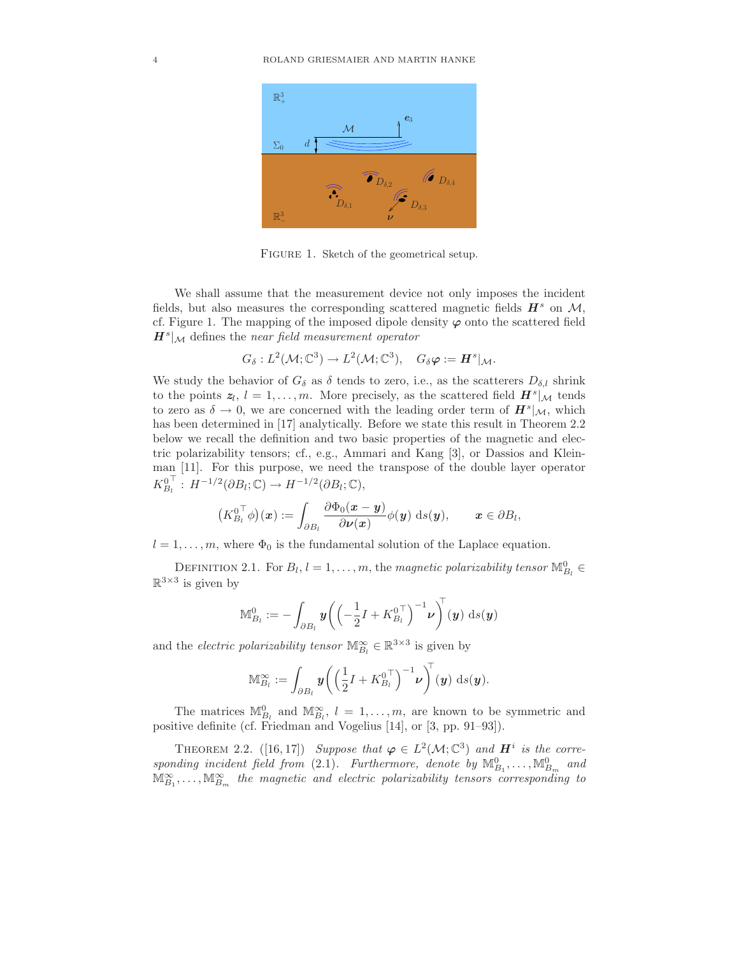

FIGURE 1. Sketch of the geometrical setup.

We shall assume that the measurement device not only imposes the incident fields, but also measures the corresponding scattered magnetic fields  $H^s$  on M, cf. Figure 1. The mapping of the imposed dipole density  $\varphi$  onto the scattered field  $H^s|_{\mathcal{M}}$  defines the near field measurement operator

$$
G_{\delta}: L^2(\mathcal{M}; \mathbb{C}^3) \to L^2(\mathcal{M}; \mathbb{C}^3), \quad G_{\delta} \varphi := \mathbf{H}^s|_{\mathcal{M}}.
$$

We study the behavior of  $G_{\delta}$  as  $\delta$  tends to zero, i.e., as the scatterers  $D_{\delta,l}$  shrink to the points  $z_l$ ,  $l = 1, ..., m$ . More precisely, as the scattered field  $H^s|\mathcal{M}$  tends to zero as  $\delta \to 0$ , we are concerned with the leading order term of  $\mathbf{H}^s|_{\mathcal{M}}$ , which has been determined in [17] analytically. Before we state this result in Theorem 2.2 below we recall the definition and two basic properties of the magnetic and electric polarizability tensors; cf., e.g., Ammari and Kang [3], or Dassios and Kleinman [11]. For this purpose, we need the transpose of the double layer operator  $K_{B_l}^0$  $T_i^{\top}$ :  $H^{-1/2}(\partial B_i; \mathbb{C}) \to H^{-1/2}(\partial B_i; \mathbb{C}),$ 

$$
\bigl(K_{B_l}^{0\top}\phi\bigr)(\boldsymbol{x}):=\int_{\partial B_l}\frac{\partial \Phi_0(\boldsymbol{x}-\boldsymbol{y})}{\partial \boldsymbol{\nu}(\boldsymbol{x})}\phi(\boldsymbol{y})\,\operatorname{d}\!s(\boldsymbol{y}),\qquad \boldsymbol{x}\in\partial B_l,
$$

 $l = 1, \ldots, m$ , where  $\Phi_0$  is the fundamental solution of the Laplace equation.

DEFINITION 2.1. For  $B_l$ ,  $l = 1, ..., m$ , the magnetic polarizability tensor  $\mathbb{M}_{B_l}^0 \in$  $\mathbb{R}^{3\times 3}$  is given by

$$
\mathbb{M}_{B_l}^0 := -\int_{\partial B_l} \boldsymbol{y} \bigg( \Big( -\frac{1}{2} I + K_{B_l}^{0\top} \Big)^{-1} \boldsymbol{\nu} \bigg)^{\!\top} (\boldsymbol{y}) \, \mathrm{d} s(\boldsymbol{y})
$$

and the *electric polarizability tensor*  $\mathbb{M}_{B_l}^{\infty} \in \mathbb{R}^{3 \times 3}$  is given by

$$
\mathbb{M}_{B_l}^{\infty} := \int_{\partial B_l} \boldsymbol{y} \bigg( \Big( \frac{1}{2} I + \overline{K}_{B_l}^{0\top} \Big)^{-1} \boldsymbol{\nu} \bigg)^{\!\top} (\boldsymbol{y}) \, \mathrm{d} s(\boldsymbol{y}).
$$

The matrices  $\mathbb{M}_{B_l}^0$  and  $\mathbb{M}_{B_l}^{\infty}$ ,  $l = 1, \ldots, m$ , are known to be symmetric and positive definite (cf. Friedman and Vogelius [14], or [3, pp. 91–93]).

THEOREM 2.2. ([16,17]) Suppose that  $\varphi \in L^2(\mathcal{M}; \mathbb{C}^3)$  and  $H^i$  is the corresponding incident field from (2.1). Furthermore, denote by  $\mathbb{M}^0_{B_1}, \ldots, \mathbb{M}^0_{B_m}$  and  $\mathbb{M}_{B_1}^{\infty}, \ldots, \mathbb{M}_{B_m}^{\infty}$  the magnetic and electric polarizability tensors corresponding to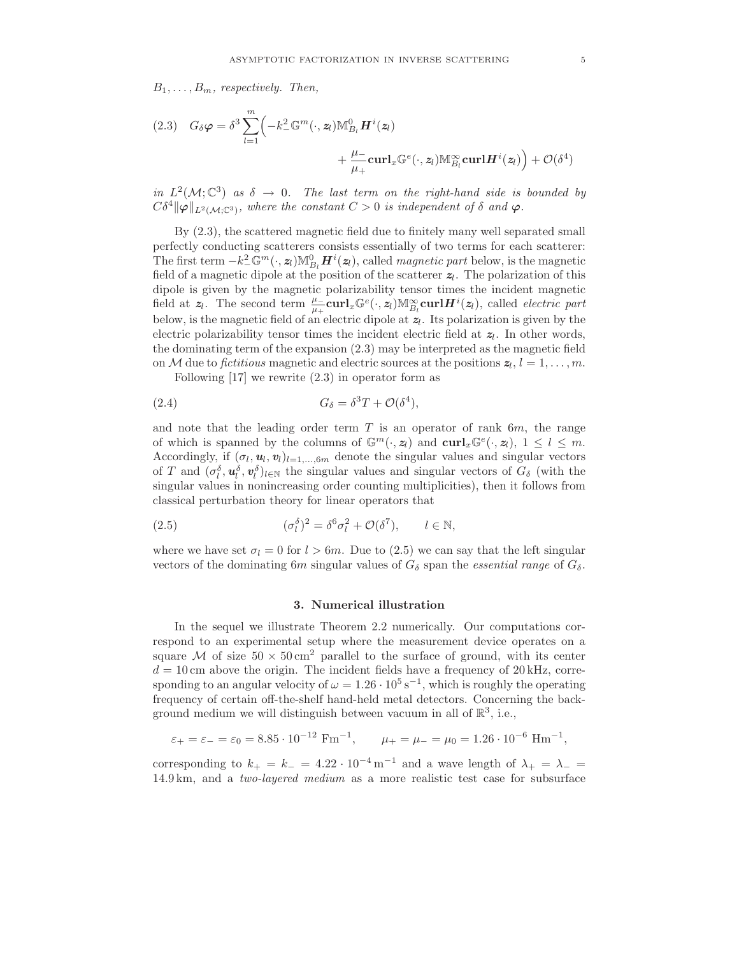$B_1, \ldots, B_m$ , respectively. Then,

(2.3) 
$$
G_{\delta}\varphi = \delta^3 \sum_{l=1}^{m} \left( -k_-^2 \mathbb{G}^m(\cdot, \mathbf{z}_l) \mathbb{M}_{B_l}^0 \mathbf{H}^i(\mathbf{z}_l) + \frac{\mu_-}{\mu_+} \mathbf{curl}_x \mathbb{G}^e(\cdot, \mathbf{z}_l) \mathbb{M}_{B_l}^{\infty} \mathbf{curl} \mathbf{H}^i(\mathbf{z}_l) \right) + \mathcal{O}(\delta^4)
$$

in  $L^2(\mathcal{M}; \mathbb{C}^3)$  as  $\delta \to 0$ . The last term on the right-hand side is bounded by  $C\delta^4\|\varphi\|_{L^2(\mathcal{M};\mathbb{C}^3)}$ , where the constant  $C>0$  is independent of  $\delta$  and  $\varphi$ .

By (2.3), the scattered magnetic field due to finitely many well separated small perfectly conducting scatterers consists essentially of two terms for each scatterer: The first term  $-k_-^2 \mathbb{G}^m(\cdot, z_l) \mathbb{M}_{B_l}^0 \boldsymbol{H}^i(z_l)$ , called *magnetic part* below, is the magnetic field of a magnetic dipole at the position of the scatterer  $z<sub>l</sub>$ . The polarization of this dipole is given by the magnetic polarizability tensor times the incident magnetic field at  $z_l$ . The second term  $\frac{\mu_-}{\mu_+} \mathbf{curl}_x \mathbb{G}^e(\cdot, z_l) \mathbb{M}_{B_l}^{\infty} \mathbf{curl} \mathbf{H}^i(z_l)$ , called *electric part* below, is the magnetic field of an electric dipole at  $z_l$ . Its polarization is given by the electric polarizability tensor times the incident electric field at  $z_l$ . In other words, the dominating term of the expansion (2.3) may be interpreted as the magnetic field on M due to *fictitious* magnetic and electric sources at the positions  $z_l$ ,  $l = 1, ..., m$ .

Following [17] we rewrite (2.3) in operator form as

(2.4) 
$$
G_{\delta} = \delta^3 T + \mathcal{O}(\delta^4),
$$

and note that the leading order term  $T$  is an operator of rank  $6m$ , the range of which is spanned by the columns of  $\mathbb{G}^m(\cdot, z_l)$  and  $\operatorname{curl}_x \mathbb{G}^e(\cdot, z_l)$ ,  $1 \leq l \leq m$ . Accordingly, if  $(\sigma_l, \mathbf{u}_l, \mathbf{v}_l)_{l=1,\dots,6m}$  denote the singular values and singular vectors of T and  $(\sigma_l^{\delta}, u_l^{\delta}, v_l^{\delta})_{l \in \mathbb{N}}$  the singular values and singular vectors of  $G_{\delta}$  (with the singular values in nonincreasing order counting multiplicities), then it follows from classical perturbation theory for linear operators that

(2.5) 
$$
(\sigma_l^{\delta})^2 = \delta^6 \sigma_l^2 + \mathcal{O}(\delta^7), \qquad l \in \mathbb{N},
$$

where we have set  $\sigma_l = 0$  for  $l > 6m$ . Due to (2.5) we can say that the left singular vectors of the dominating 6m singular values of  $G_{\delta}$  span the *essential range* of  $G_{\delta}$ .

#### 3. Numerical illustration

In the sequel we illustrate Theorem 2.2 numerically. Our computations correspond to an experimental setup where the measurement device operates on a square M of size  $50 \times 50 \text{ cm}^2$  parallel to the surface of ground, with its center  $d = 10$  cm above the origin. The incident fields have a frequency of  $20 \text{ kHz}$ , corresponding to an angular velocity of  $\omega = 1.26 \cdot 10^5 \text{ s}^{-1}$ , which is roughly the operating frequency of certain off-the-shelf hand-held metal detectors. Concerning the background medium we will distinguish between vacuum in all of  $\mathbb{R}^3$ , i.e.,

$$
\varepsilon_+ = \varepsilon_- = \varepsilon_0 = 8.85 \cdot 10^{-12} \text{ Fm}^{-1}, \qquad \mu_+ = \mu_- = \mu_0 = 1.26 \cdot 10^{-6} \text{ Hm}^{-1},
$$

corresponding to  $k_{+} = k_{-} = 4.22 \cdot 10^{-4} \,\mathrm{m}^{-1}$  and a wave length of  $\lambda_{+} = \lambda_{-} =$ 14.9 km, and a two-layered medium as a more realistic test case for subsurface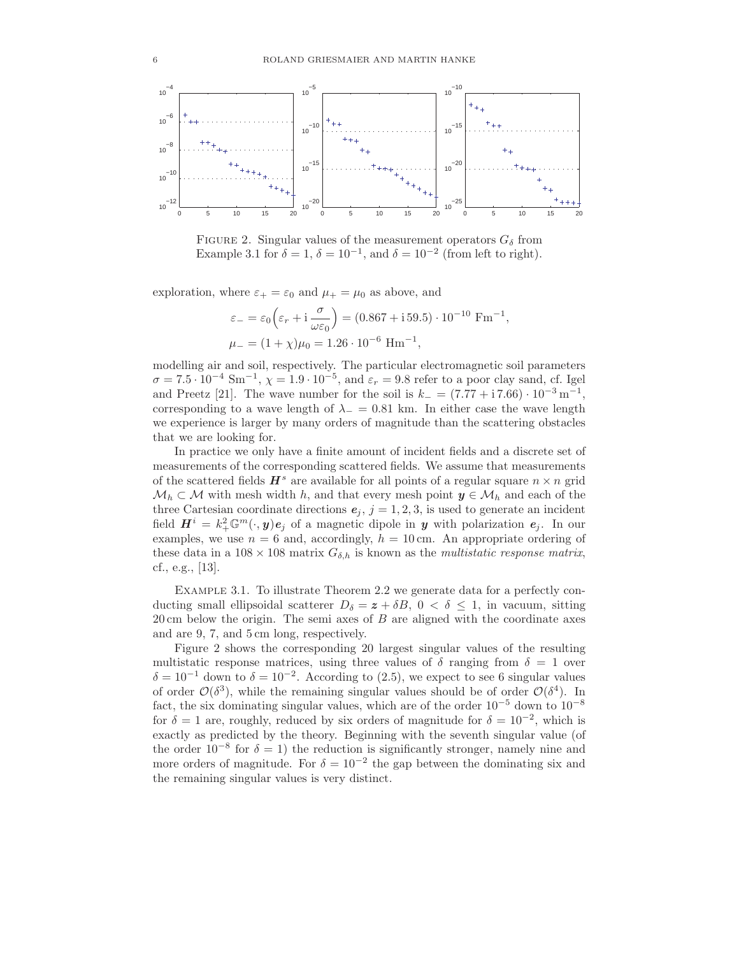

FIGURE 2. Singular values of the measurement operators  $G_{\delta}$  from Example 3.1 for  $\delta = 1, \delta = 10^{-1}$ , and  $\delta = 10^{-2}$  (from left to right).

exploration, where  $\varepsilon_+ = \varepsilon_0$  and  $\mu_+ = \mu_0$  as above, and

$$
\varepsilon_{-} = \varepsilon_{0} \left( \varepsilon_{r} + i \frac{\sigma}{\omega \varepsilon_{0}} \right) = (0.867 + i 59.5) \cdot 10^{-10} \text{ Fm}^{-1},
$$
  

$$
\mu_{-} = (1 + \chi)\mu_{0} = 1.26 \cdot 10^{-6} \text{ Hm}^{-1},
$$

modelling air and soil, respectively. The particular electromagnetic soil parameters  $\sigma = 7.5 \cdot 10^{-4}$  Sm<sup>-1</sup>,  $\chi = 1.9 \cdot 10^{-5}$ , and  $\varepsilon_r = 9.8$  refer to a poor clay sand, cf. Igel and Preetz [21]. The wave number for the soil is  $k_ - = (7.77 + 17.66) \cdot 10^{-3} \,\mathrm{m}^{-1}$ , corresponding to a wave length of  $\lambda_-=0.81$  km. In either case the wave length we experience is larger by many orders of magnitude than the scattering obstacles that we are looking for.

In practice we only have a finite amount of incident fields and a discrete set of measurements of the corresponding scattered fields. We assume that measurements of the scattered fields  $\mathbf{H}^s$  are available for all points of a regular square  $n \times n$  grid  $\mathcal{M}_h \subset \mathcal{M}$  with mesh width h, and that every mesh point  $y \in \mathcal{M}_h$  and each of the three Cartesian coordinate directions  $e_j$ ,  $j = 1, 2, 3$ , is used to generate an incident field  $\mathbf{H}^{i} = k_{+}^{2} \mathbb{G}^{m}(\cdot, y) e_{j}$  of a magnetic dipole in y with polarization  $e_{j}$ . In our examples, we use  $n = 6$  and, accordingly,  $h = 10$  cm. An appropriate ordering of these data in a  $108 \times 108$  matrix  $G_{\delta,h}$  is known as the *multistatic response matrix*, cf., e.g., [13].

Example 3.1. To illustrate Theorem 2.2 we generate data for a perfectly conducting small ellipsoidal scatterer  $D_{\delta} = z + \delta B$ ,  $0 < \delta \leq 1$ , in vacuum, sitting  $20 \text{ cm}$  below the origin. The semi axes of  $B$  are aligned with the coordinate axes and are 9, 7, and 5 cm long, respectively.

Figure 2 shows the corresponding 20 largest singular values of the resulting multistatic response matrices, using three values of  $\delta$  ranging from  $\delta = 1$  over  $\delta = 10^{-1}$  down to  $\delta = 10^{-2}$ . According to (2.5), we expect to see 6 singular values of order  $\mathcal{O}(\delta^3)$ , while the remaining singular values should be of order  $\mathcal{O}(\delta^4)$ . In fact, the six dominating singular values, which are of the order  $10^{-5}$  down to  $10^{-8}$ for  $\delta = 1$  are, roughly, reduced by six orders of magnitude for  $\delta = 10^{-2}$ , which is exactly as predicted by the theory. Beginning with the seventh singular value (of the order  $10^{-8}$  for  $\delta = 1$ ) the reduction is significantly stronger, namely nine and more orders of magnitude. For  $\delta = 10^{-2}$  the gap between the dominating six and the remaining singular values is very distinct.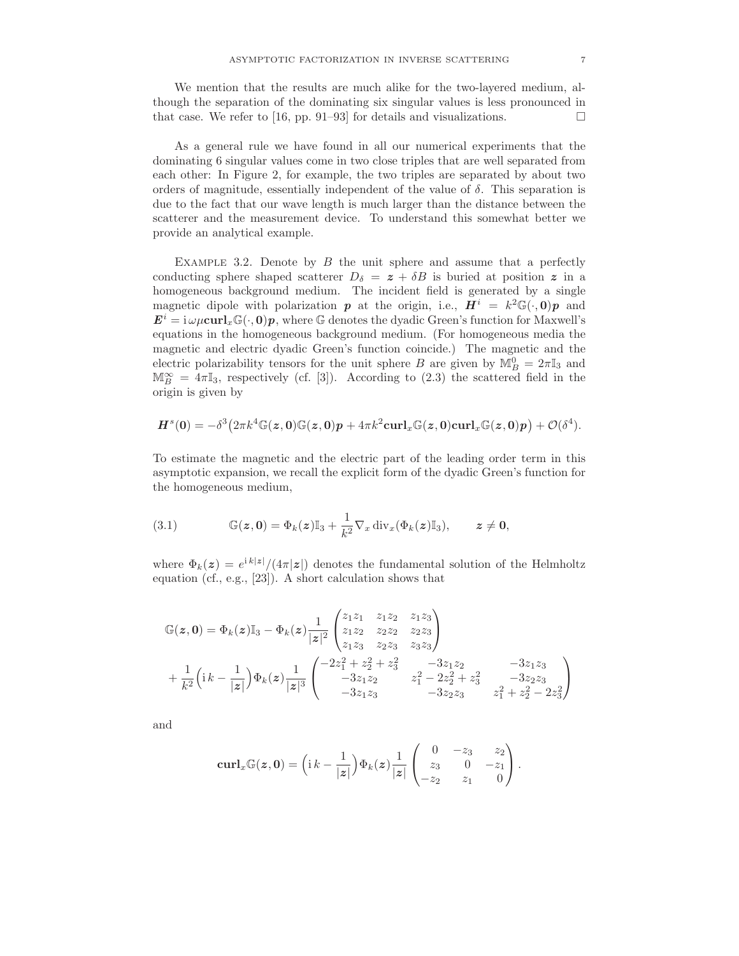We mention that the results are much alike for the two-layered medium, although the separation of the dominating six singular values is less pronounced in that case. We refer to [16, pp. 91–93] for details and visualizations.  $\Box$ 

As a general rule we have found in all our numerical experiments that the dominating 6 singular values come in two close triples that are well separated from each other: In Figure 2, for example, the two triples are separated by about two orders of magnitude, essentially independent of the value of  $\delta$ . This separation is due to the fact that our wave length is much larger than the distance between the scatterer and the measurement device. To understand this somewhat better we provide an analytical example.

EXAMPLE 3.2. Denote by  $B$  the unit sphere and assume that a perfectly conducting sphere shaped scatterer  $D_{\delta} = z + \delta B$  is buried at position z in a homogeneous background medium. The incident field is generated by a single magnetic dipole with polarization p at the origin, i.e.,  $H^i = k^2 \mathbb{G}(\cdot, 0)p$  and  $\mathbf{E}^i = \mathrm{i} \omega \mu \mathbf{curl}_x \mathbb{G}(\cdot, 0) \mathbf{p}$ , where  $\mathbb{G}$  denotes the dyadic Green's function for Maxwell's equations in the homogeneous background medium. (For homogeneous media the magnetic and electric dyadic Green's function coincide.) The magnetic and the electric polarizability tensors for the unit sphere B are given by  $\mathbb{M}_{B}^{0} = 2\pi \mathbb{I}_{3}$  and  $\mathbb{M}_{B}^{\infty} = 4\pi\mathbb{I}_{3}$ , respectively (cf. [3]). According to (2.3) the scattered field in the origin is given by

$$
H^{s}(0) = -\delta^{3}(2\pi k^{4}\mathbb{G}(z,0)\mathbb{G}(z,0)p + 4\pi k^{2}\mathrm{curl}_{x}\mathbb{G}(z,0)\mathrm{curl}_{x}\mathbb{G}(z,0)p + \mathcal{O}(\delta^{4}).
$$

To estimate the magnetic and the electric part of the leading order term in this asymptotic expansion, we recall the explicit form of the dyadic Green's function for the homogeneous medium,

(3.1) 
$$
\mathbb{G}(z,0) = \Phi_k(z)\mathbb{I}_3 + \frac{1}{k^2}\nabla_x \operatorname{div}_x(\Phi_k(z)\mathbb{I}_3), \qquad z \neq 0,
$$

where  $\Phi_k(z) = e^{ik|z|}/(4\pi|z|)$  denotes the fundamental solution of the Helmholtz equation (cf., e.g., [23]). A short calculation shows that

$$
\mathbb{G}(z,0) = \Phi_k(z)\mathbb{I}_3 - \Phi_k(z)\frac{1}{|z|^2} \begin{pmatrix} z_1z_1 & z_1z_2 & z_1z_3 \\ z_1z_2 & z_2z_2 & z_2z_3 \\ z_1z_3 & z_2z_3 & z_3z_3 \end{pmatrix}
$$
  
+  $\frac{1}{k^2} \left( i k - \frac{1}{|z|} \right) \Phi_k(z)\frac{1}{|z|^3} \begin{pmatrix} -2z_1^2 + z_2^2 + z_3^2 & -3z_1z_2 & -3z_1z_3 \\ -3z_1z_2 & z_1^2 - 2z_2^2 + z_3^2 & -3z_2z_3 \\ -3z_1z_3 & -3z_2z_3 & z_1^2 + z_2^2 - 2z_3^2 \end{pmatrix}$ 

and

$$
\operatorname{\mathbf{curl}}_x \mathbb{G}(\boldsymbol{z},\boldsymbol{0}) = \left(\mathrm{i}\,k - \frac{1}{|\boldsymbol{z}|}\right) \Phi_k(\boldsymbol{z}) \frac{1}{|\boldsymbol{z}|} \begin{pmatrix} 0 & -z_3 & z_2 \\ z_3 & 0 & -z_1 \\ -z_2 & z_1 & 0 \end{pmatrix}.
$$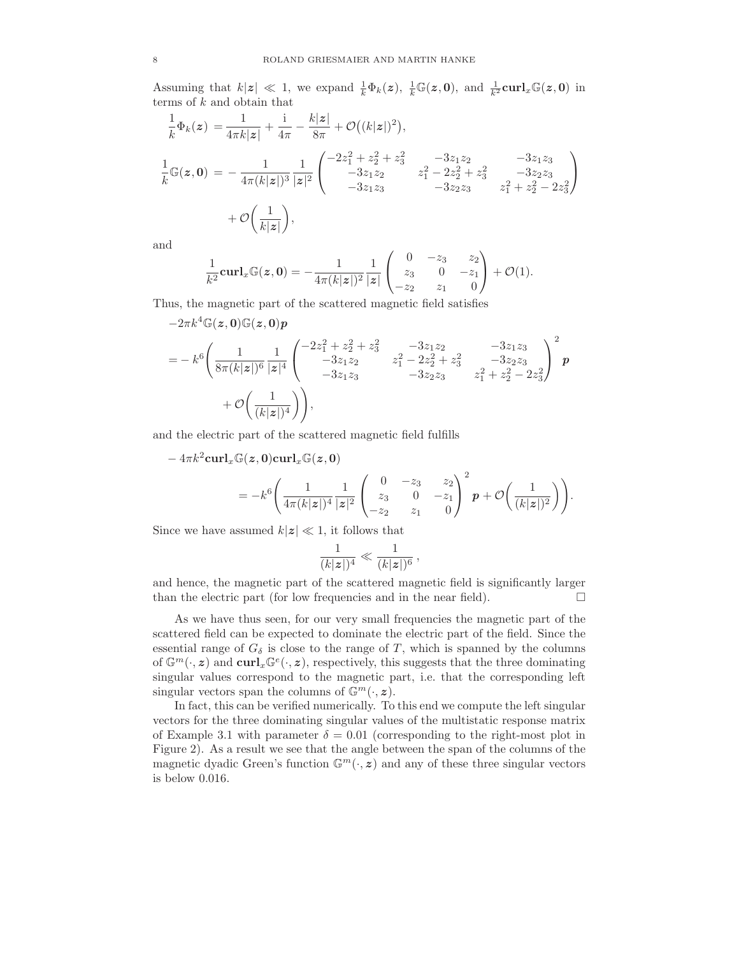Assuming that  $k|z| \ll 1$ , we expand  $\frac{1}{k} \Phi_k(z)$ ,  $\frac{1}{k} \mathbb{G}(z,0)$ , and  $\frac{1}{k^2} \text{curl}_x \mathbb{G}(z,0)$  in terms of k and obtain that

$$
\frac{1}{k}\Phi_k(z) = \frac{1}{4\pi k|z|} + \frac{i}{4\pi} - \frac{k|z|}{8\pi} + \mathcal{O}\big((k|z|)^2\big),
$$
\n
$$
\frac{1}{k}\mathbb{G}(z,0) = -\frac{1}{4\pi (k|z|)^3} \frac{1}{|z|^2} \begin{pmatrix} -2z_1^2 + z_2^2 + z_3^2 & -3z_1z_2 & -3z_1z_3\\ -3z_1z_2 & z_1^2 - 2z_2^2 + z_3^2 & -3z_2z_3\\ -3z_1z_3 & -3z_2z_3 & z_1^2 + z_2^2 - 2z_3^2 \end{pmatrix}
$$
\n
$$
+ \mathcal{O}\bigg(\frac{1}{k|z|}\bigg),
$$

and

$$
\frac{1}{k^2}\mathbf{curl}_x\mathbb{G}(\mathbf{z},\mathbf{0})=-\frac{1}{4\pi(k|\mathbf{z}|)^2}\frac{1}{|\mathbf{z}|}\begin{pmatrix}0&-z_3&z_2\\z_3&0&-z_1\\-z_2&z_1&0\end{pmatrix}+\mathcal{O}(1).
$$

Thus, the magnetic part of the scattered magnetic field satisfies

$$
-2\pi k^4 \mathbb{G}(z,0) \mathbb{G}(z,0) p
$$
  
=  $-k^6 \left( \frac{1}{8\pi (k|z|)^6} \frac{1}{|z|^4} \begin{pmatrix} -2z_1^2 + z_2^2 + z_3^2 & -3z_1 z_2 & -3z_1 z_3 \\ -3z_1 z_2 & z_1^2 - 2z_2^2 + z_3^2 & -3z_2 z_3 \\ -3z_1 z_3 & -3z_2 z_3 & z_1^2 + z_2^2 - 2z_3^2 \end{pmatrix}^2 p$   
+  $\mathcal{O}\left(\frac{1}{(k|z|)^4}\right)\right),$ 

and the electric part of the scattered magnetic field fulfills

 $-4\pi k^2 \hbox{\rm curl}_x \mathbb{G}(\pmb{z},\pmb{0}) \hbox{\rm curl}_x \mathbb{G}(\pmb{z},\pmb{0})$  $=-k^6\left(\frac{1}{4\pi(k)}\right)$  $4\pi(k|z|)^4$ 1  $|z|^2$  $\sqrt{ }$  $\overline{1}$ 0  $-z_3$   $z_2$  $z_3$  0 − $z_1$  $-z_2$   $z_1$  0  $\setminus$  $\overline{1}$ 2  $p + \mathcal{O}\left(\frac{1}{(k|z|)}\right)$  $(k|z|)^2$  $\bigg)$ .

Since we have assumed  $k|z| \ll 1$ , it follows that

$$
\frac{1}{(k|\boldsymbol{z}|)^4} \ll \frac{1}{(k|\boldsymbol{z}|)^6},
$$

and hence, the magnetic part of the scattered magnetic field is significantly larger than the electric part (for low frequencies and in the near field).  $\Box$ 

As we have thus seen, for our very small frequencies the magnetic part of the scattered field can be expected to dominate the electric part of the field. Since the essential range of  $G_{\delta}$  is close to the range of T, which is spanned by the columns of  $\mathbb{G}^m(\cdot,z)$  and  $\operatorname{curl}_x\mathbb{G}^e(\cdot,z)$ , respectively, this suggests that the three dominating singular values correspond to the magnetic part, i.e. that the corresponding left singular vectors span the columns of  $\mathbb{G}^m(\cdot, z)$ .

In fact, this can be verified numerically. To this end we compute the left singular vectors for the three dominating singular values of the multistatic response matrix of Example 3.1 with parameter  $\delta = 0.01$  (corresponding to the right-most plot in Figure 2). As a result we see that the angle between the span of the columns of the magnetic dyadic Green's function  $\mathbb{G}^m(\cdot, z)$  and any of these three singular vectors is below 0.016.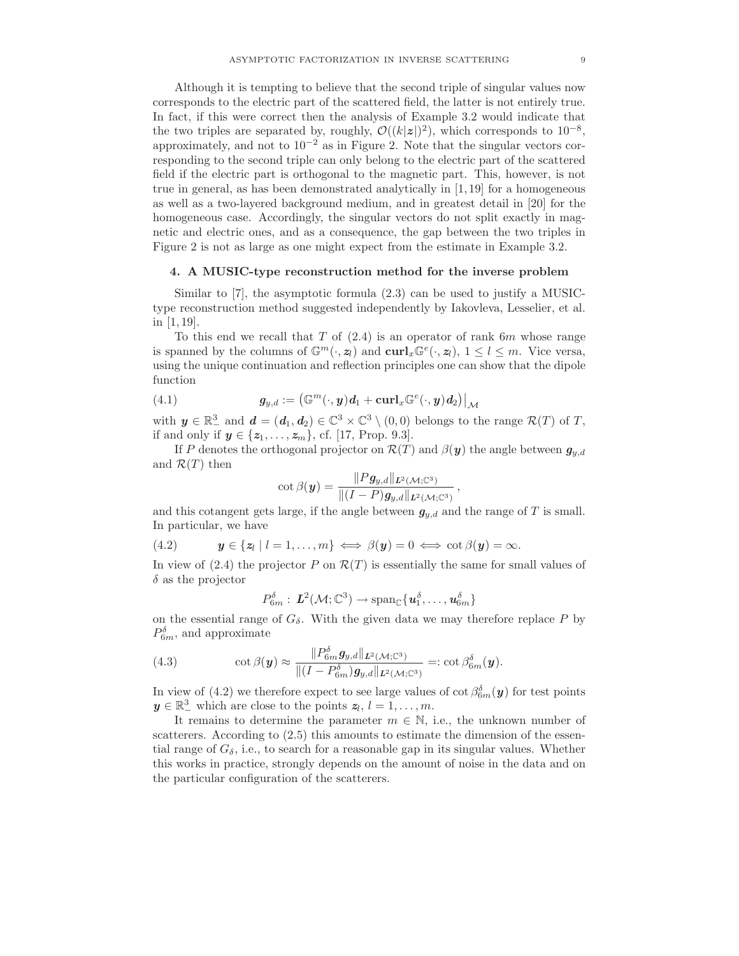Although it is tempting to believe that the second triple of singular values now corresponds to the electric part of the scattered field, the latter is not entirely true. In fact, if this were correct then the analysis of Example 3.2 would indicate that the two triples are separated by, roughly,  $\mathcal{O}((k|z|)^2)$ , which corresponds to  $10^{-8}$ , approximately, and not to 10−<sup>2</sup> as in Figure 2. Note that the singular vectors corresponding to the second triple can only belong to the electric part of the scattered field if the electric part is orthogonal to the magnetic part. This, however, is not true in general, as has been demonstrated analytically in [1, 19] for a homogeneous as well as a two-layered background medium, and in greatest detail in [20] for the homogeneous case. Accordingly, the singular vectors do not split exactly in magnetic and electric ones, and as a consequence, the gap between the two triples in Figure 2 is not as large as one might expect from the estimate in Example 3.2.

# 4. A MUSIC-type reconstruction method for the inverse problem

Similar to [7], the asymptotic formula (2.3) can be used to justify a MUSICtype reconstruction method suggested independently by Iakovleva, Lesselier, et al. in [1, 19].

To this end we recall that  $T$  of  $(2.4)$  is an operator of rank  $6m$  whose range is spanned by the columns of  $\mathbb{G}^m(\cdot, z_l)$  and  $\mathbf{curl}_x \mathbb{G}^e(\cdot, z_l)$ ,  $1 \leq l \leq m$ . Vice versa, using the unique continuation and reflection principles one can show that the dipole function

(4.1) 
$$
g_{y,d} := (\mathbb{G}^m(\cdot,y)d_1 + \operatorname{curl}_x \mathbb{G}^e(\cdot,y)d_2)|_{\mathcal{M}}
$$

with  $y \in \mathbb{R}^3_+$  and  $d = (d_1, d_2) \in \mathbb{C}^3 \times \mathbb{C}^3 \setminus (0, 0)$  belongs to the range  $\mathcal{R}(T)$  of T, if and only if  $y \in \{z_1, \ldots, z_m\}$ , cf. [17, Prop. 9.3].

If P denotes the orthogonal projector on  $\mathcal{R}(T)$  and  $\beta(\mathbf{y})$  the angle between  $g_{y,d}$ and  $\mathcal{R}(T)$  then

$$
\cot \beta(\boldsymbol{y}) = \frac{\|P \boldsymbol{g}_{y,d}\|_{\boldsymbol{L}^2(\mathcal{M};\mathbb{C}^3)}}{\|(I-P) \boldsymbol{g}_{y,d}\|_{\boldsymbol{L}^2(\mathcal{M};\mathbb{C}^3)}}
$$

,

and this cotangent gets large, if the angle between  $g_{y,d}$  and the range of T is small. In particular, we have

$$
(4.2) \t\t y \in \{z_l \mid l=1,\ldots,m\} \iff \beta(y)=0 \iff \cot \beta(y)=\infty.
$$

In view of (2.4) the projector P on  $\mathcal{R}(T)$  is essentially the same for small values of  $\delta$  as the projector

$$
P_{6m}^{\delta} : L^2(\mathcal{M}; \mathbb{C}^3) \to \mathrm{span}_{\mathbb{C}}\{\boldsymbol{u}_1^{\delta}, \ldots, \boldsymbol{u}_{6m}^{\delta}\}
$$

on the essential range of  $G_{\delta}$ . With the given data we may therefore replace P by  $P_{6m}^{\delta}$ , and approximate

(4.3) 
$$
\cot \beta(\boldsymbol{y}) \approx \frac{\|P_{6m}^{\delta} \boldsymbol{g}_{y,d}\|_{\boldsymbol{L}^2(\mathcal{M};\mathbb{C}^3)}}{\|(I - P_{6m}^{\delta}) \boldsymbol{g}_{y,d}\|_{\boldsymbol{L}^2(\mathcal{M};\mathbb{C}^3)}} =: \cot \beta_{6m}^{\delta}(\boldsymbol{y}).
$$

In view of (4.2) we therefore expect to see large values of  $\cot \beta_{6m}^{\delta}(\mathbf{y})$  for test points  $y \in \mathbb{R}^3_$  which are close to the points  $z_l, l = 1, \ldots, m$ .

It remains to determine the parameter  $m \in \mathbb{N}$ , i.e., the unknown number of scatterers. According to  $(2.5)$  this amounts to estimate the dimension of the essential range of  $G_{\delta}$ , i.e., to search for a reasonable gap in its singular values. Whether this works in practice, strongly depends on the amount of noise in the data and on the particular configuration of the scatterers.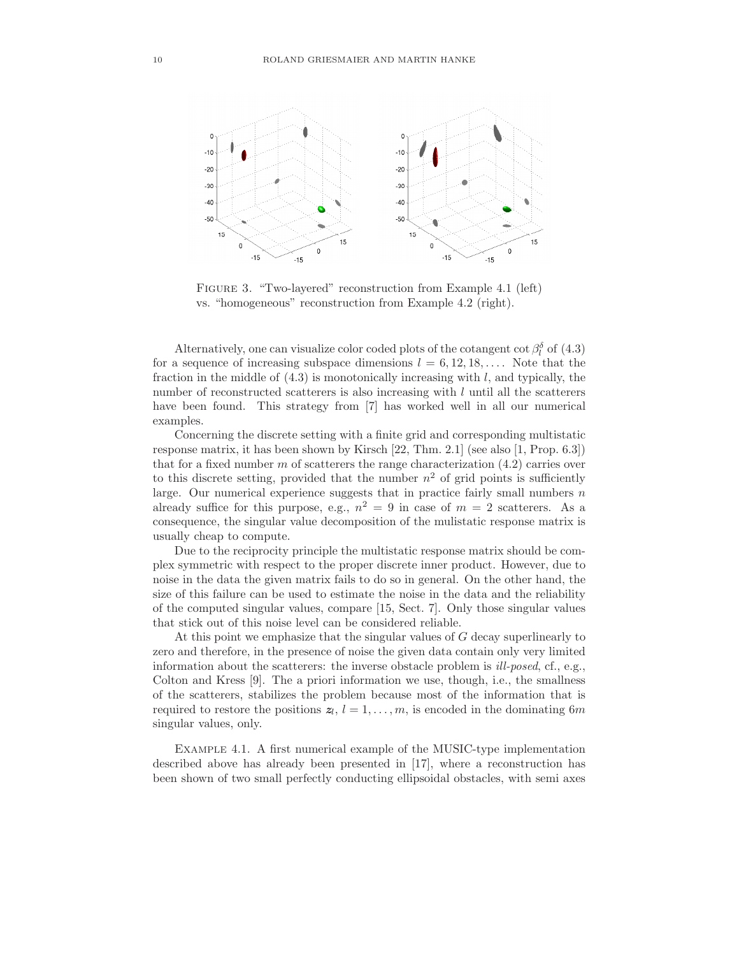

Figure 3. "Two-layered" reconstruction from Example 4.1 (left) vs. "homogeneous" reconstruction from Example 4.2 (right).

Alternatively, one can visualize color coded plots of the cotangent cot  $\beta_l^{\delta}$  of (4.3) for a sequence of increasing subspace dimensions  $l = 6, 12, 18, \ldots$ . Note that the fraction in the middle of  $(4.3)$  is monotonically increasing with l, and typically, the number of reconstructed scatterers is also increasing with l until all the scatterers have been found. This strategy from [7] has worked well in all our numerical examples.

Concerning the discrete setting with a finite grid and corresponding multistatic response matrix, it has been shown by Kirsch [22, Thm. 2.1] (see also [1, Prop. 6.3]) that for a fixed number  $m$  of scatterers the range characterization  $(4.2)$  carries over to this discrete setting, provided that the number  $n^2$  of grid points is sufficiently large. Our numerical experience suggests that in practice fairly small numbers  $n$ already suffice for this purpose, e.g.,  $n^2 = 9$  in case of  $m = 2$  scatterers. As a consequence, the singular value decomposition of the mulistatic response matrix is usually cheap to compute.

Due to the reciprocity principle the multistatic response matrix should be complex symmetric with respect to the proper discrete inner product. However, due to noise in the data the given matrix fails to do so in general. On the other hand, the size of this failure can be used to estimate the noise in the data and the reliability of the computed singular values, compare [15, Sect. 7]. Only those singular values that stick out of this noise level can be considered reliable.

At this point we emphasize that the singular values of  $G$  decay superlinearly to zero and therefore, in the presence of noise the given data contain only very limited information about the scatterers: the inverse obstacle problem is ill-posed, cf., e.g., Colton and Kress [9]. The a priori information we use, though, i.e., the smallness of the scatterers, stabilizes the problem because most of the information that is required to restore the positions  $z_l$ ,  $l = 1, \ldots, m$ , is encoded in the dominating 6m singular values, only.

Example 4.1. A first numerical example of the MUSIC-type implementation described above has already been presented in [17], where a reconstruction has been shown of two small perfectly conducting ellipsoidal obstacles, with semi axes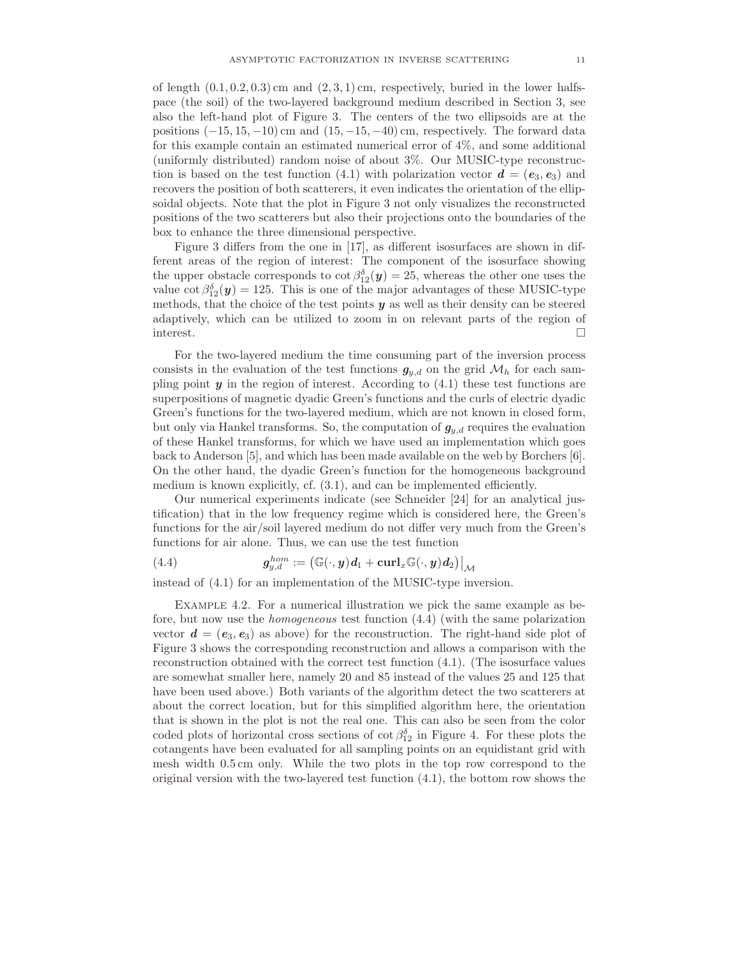of length  $(0.1, 0.2, 0.3)$  cm and  $(2, 3, 1)$  cm, respectively, buried in the lower halfspace (the soil) of the two-layered background medium described in Section 3, see also the left-hand plot of Figure 3. The centers of the two ellipsoids are at the positions  $(-15, 15, -10)$  cm and  $(15, -15, -40)$  cm, respectively. The forward data for this example contain an estimated numerical error of 4%, and some additional (uniformly distributed) random noise of about 3%. Our MUSIC-type reconstruction is based on the test function (4.1) with polarization vector  $\mathbf{d} = (\mathbf{e}_3, \mathbf{e}_3)$  and recovers the position of both scatterers, it even indicates the orientation of the ellipsoidal objects. Note that the plot in Figure 3 not only visualizes the reconstructed positions of the two scatterers but also their projections onto the boundaries of the box to enhance the three dimensional perspective.

Figure 3 differs from the one in [17], as different isosurfaces are shown in different areas of the region of interest: The component of the isosurface showing the upper obstacle corresponds to  $\cot \beta_{12}^{\delta}(y) = 25$ , whereas the other one uses the value  $\cot \beta_{12}^{\delta}(\mathbf{y}) = 125$ . This is one of the major advantages of these MUSIC-type methods, that the choice of the test points  $y$  as well as their density can be steered adaptively, which can be utilized to zoom in on relevant parts of the region of interest.

For the two-layered medium the time consuming part of the inversion process consists in the evaluation of the test functions  $g_{y,d}$  on the grid  $\mathcal{M}_h$  for each sampling point  $y$  in the region of interest. According to  $(4.1)$  these test functions are superpositions of magnetic dyadic Green's functions and the curls of electric dyadic Green's functions for the two-layered medium, which are not known in closed form, but only via Hankel transforms. So, the computation of  $g_{y,d}$  requires the evaluation of these Hankel transforms, for which we have used an implementation which goes back to Anderson [5], and which has been made available on the web by Borchers [6]. On the other hand, the dyadic Green's function for the homogeneous background medium is known explicitly, cf. (3.1), and can be implemented efficiently.

Our numerical experiments indicate (see Schneider [24] for an analytical justification) that in the low frequency regime which is considered here, the Green's functions for the air/soil layered medium do not differ very much from the Green's functions for air alone. Thus, we can use the test function

(4.4) 
$$
\boldsymbol{g}_{y,d}^{hom} := (\mathbb{G}(\cdot, \boldsymbol{y})\boldsymbol{d}_1 + \mathbf{curl}_x \mathbb{G}(\cdot, \boldsymbol{y})\boldsymbol{d}_2)|_{\mathcal{M}}
$$

instead of (4.1) for an implementation of the MUSIC-type inversion.

Example 4.2. For a numerical illustration we pick the same example as before, but now use the homogeneous test function (4.4) (with the same polarization vector  $\mathbf{d} = (\mathbf{e}_3, \mathbf{e}_3)$  as above) for the reconstruction. The right-hand side plot of Figure 3 shows the corresponding reconstruction and allows a comparison with the reconstruction obtained with the correct test function (4.1). (The isosurface values are somewhat smaller here, namely 20 and 85 instead of the values 25 and 125 that have been used above.) Both variants of the algorithm detect the two scatterers at about the correct location, but for this simplified algorithm here, the orientation that is shown in the plot is not the real one. This can also be seen from the color coded plots of horizontal cross sections of  $\cot \beta_{12}^{\delta}$  in Figure 4. For these plots the cotangents have been evaluated for all sampling points on an equidistant grid with mesh width 0.5 cm only. While the two plots in the top row correspond to the original version with the two-layered test function  $(4.1)$ , the bottom row shows the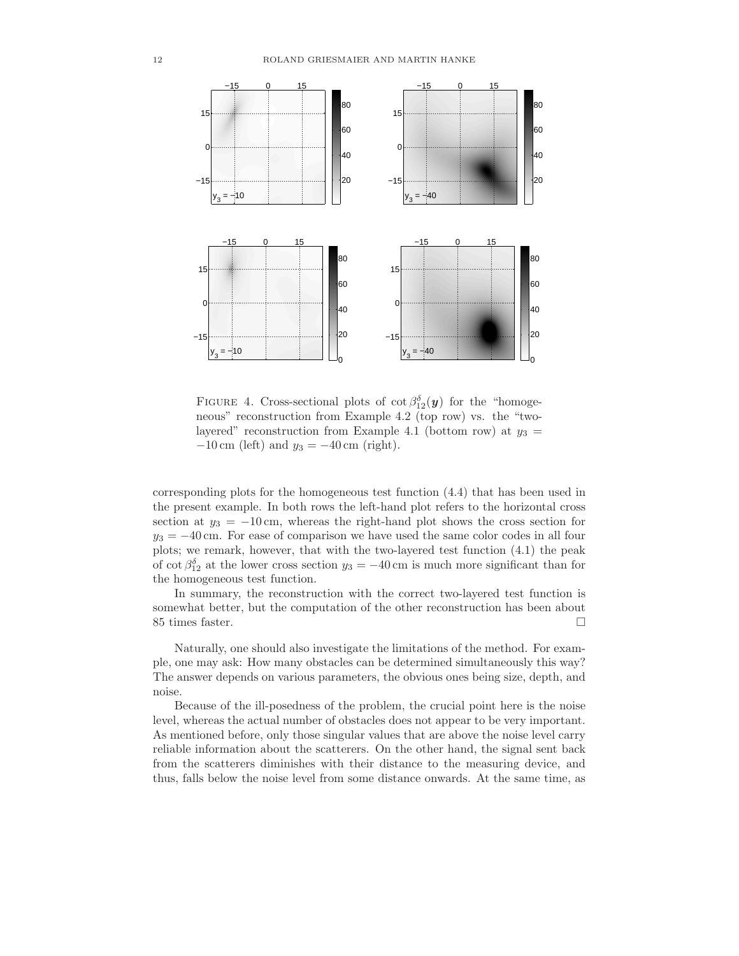

FIGURE 4. Cross-sectional plots of  $\cot \beta_{12}^{\delta}(y)$  for the "homogeneous" reconstruction from Example 4.2 (top row) vs. the "twolayered" reconstruction from Example 4.1 (bottom row) at  $y_3 =$  $-10 \text{ cm}$  (left) and  $y_3 = -40 \text{ cm}$  (right).

corresponding plots for the homogeneous test function (4.4) that has been used in the present example. In both rows the left-hand plot refers to the horizontal cross section at  $y_3 = -10$  cm, whereas the right-hand plot shows the cross section for  $y_3 = -40$  cm. For ease of comparison we have used the same color codes in all four plots; we remark, however, that with the two-layered test function (4.1) the peak of cot  $\beta_{12}^{\delta}$  at the lower cross section  $y_3 = -40$  cm is much more significant than for the homogeneous test function.

In summary, the reconstruction with the correct two-layered test function is somewhat better, but the computation of the other reconstruction has been about 85 times faster.

Naturally, one should also investigate the limitations of the method. For example, one may ask: How many obstacles can be determined simultaneously this way? The answer depends on various parameters, the obvious ones being size, depth, and noise.

Because of the ill-posedness of the problem, the crucial point here is the noise level, whereas the actual number of obstacles does not appear to be very important. As mentioned before, only those singular values that are above the noise level carry reliable information about the scatterers. On the other hand, the signal sent back from the scatterers diminishes with their distance to the measuring device, and thus, falls below the noise level from some distance onwards. At the same time, as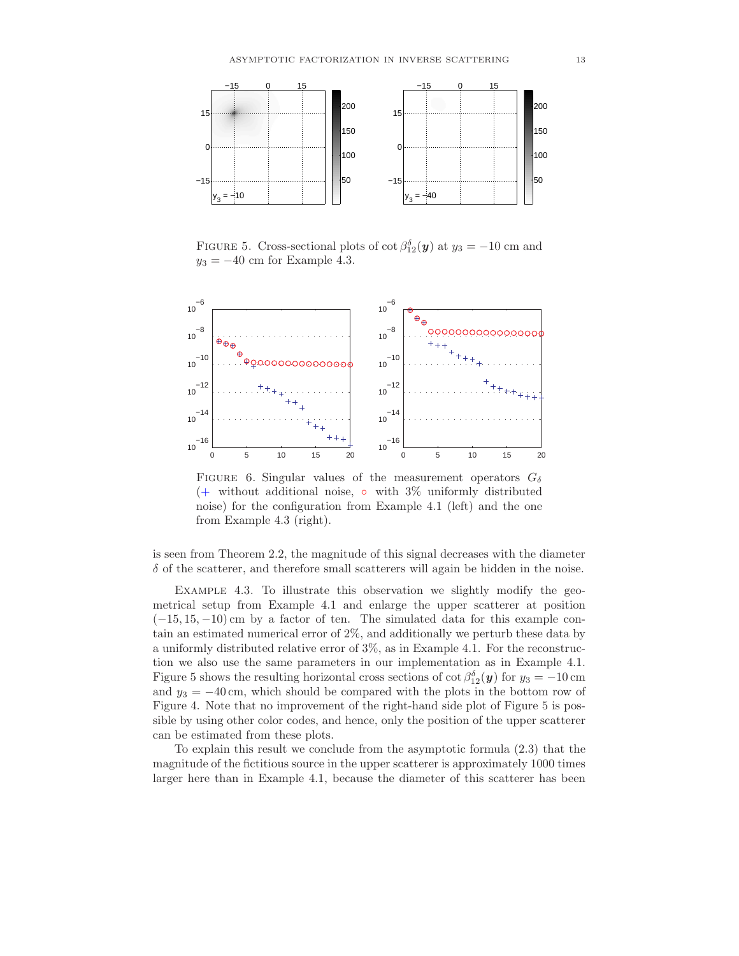

FIGURE 5. Cross-sectional plots of  $\cot \beta_{12}^{\delta}(\mathbf{y})$  at  $y_3 = -10$  cm and  $y_3 = -40$  cm for Example 4.3.



FIGURE 6. Singular values of the measurement operators  $G_{\delta}$  $(+)$  without additional noise,  $\circ$  with  $3\%$  uniformly distributed noise) for the configuration from Example 4.1 (left) and the one from Example 4.3 (right).

is seen from Theorem 2.2, the magnitude of this signal decreases with the diameter  $\delta$  of the scatterer, and therefore small scatterers will again be hidden in the noise.

Example 4.3. To illustrate this observation we slightly modify the geometrical setup from Example 4.1 and enlarge the upper scatterer at position  $(-15, 15, -10)$  cm by a factor of ten. The simulated data for this example contain an estimated numerical error of 2%, and additionally we perturb these data by a uniformly distributed relative error of 3%, as in Example 4.1. For the reconstruction we also use the same parameters in our implementation as in Example 4.1. Figure 5 shows the resulting horizontal cross sections of  $\cot \beta_{12}^{\delta}(y)$  for  $y_3 = -10$  cm and  $y_3 = -40$  cm, which should be compared with the plots in the bottom row of Figure 4. Note that no improvement of the right-hand side plot of Figure 5 is possible by using other color codes, and hence, only the position of the upper scatterer can be estimated from these plots.

To explain this result we conclude from the asymptotic formula (2.3) that the magnitude of the fictitious source in the upper scatterer is approximately 1000 times larger here than in Example 4.1, because the diameter of this scatterer has been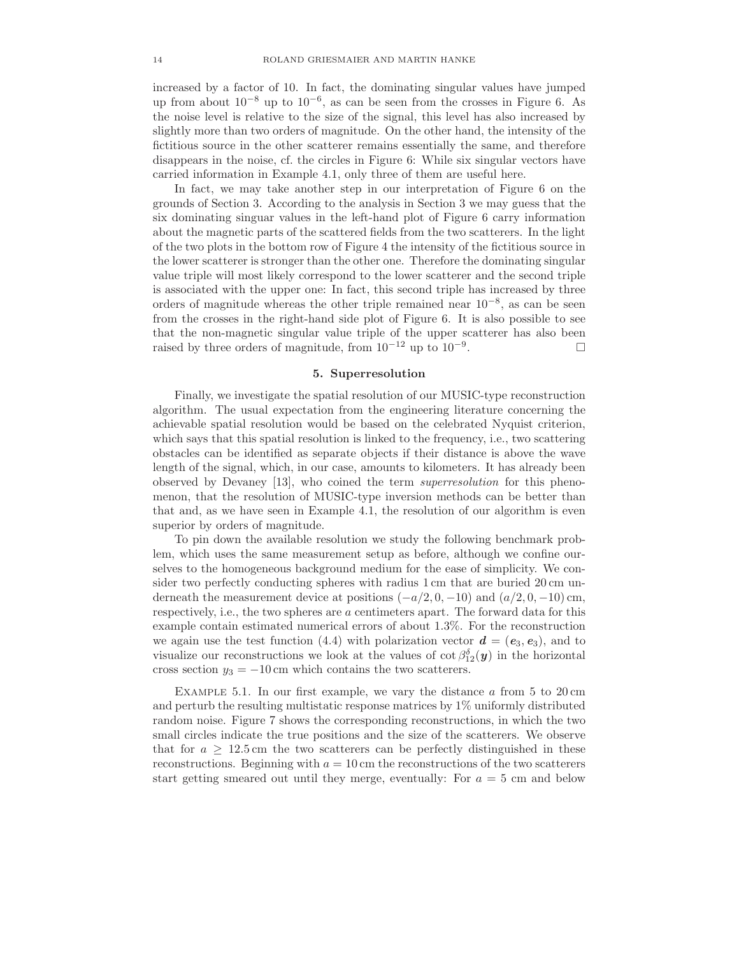increased by a factor of 10. In fact, the dominating singular values have jumped up from about  $10^{-8}$  up to  $10^{-6}$ , as can be seen from the crosses in Figure 6. As the noise level is relative to the size of the signal, this level has also increased by slightly more than two orders of magnitude. On the other hand, the intensity of the fictitious source in the other scatterer remains essentially the same, and therefore disappears in the noise, cf. the circles in Figure 6: While six singular vectors have carried information in Example 4.1, only three of them are useful here.

In fact, we may take another step in our interpretation of Figure 6 on the grounds of Section 3. According to the analysis in Section 3 we may guess that the six dominating singuar values in the left-hand plot of Figure 6 carry information about the magnetic parts of the scattered fields from the two scatterers. In the light of the two plots in the bottom row of Figure 4 the intensity of the fictitious source in the lower scatterer is stronger than the other one. Therefore the dominating singular value triple will most likely correspond to the lower scatterer and the second triple is associated with the upper one: In fact, this second triple has increased by three orders of magnitude whereas the other triple remained near 10−<sup>8</sup> , as can be seen from the crosses in the right-hand side plot of Figure 6. It is also possible to see that the non-magnetic singular value triple of the upper scatterer has also been raised by three orders of magnitude, from  $10^{-12}$  up to  $10^{-9}$ . . — Пример, пример, пример, пример, пример, пример, пример, пример, пример, пример, пример, пример, пример, пр<br>В село в село в село в село в село в село в село в село в село в село в село в село в село в село в село в сел

# 5. Superresolution

Finally, we investigate the spatial resolution of our MUSIC-type reconstruction algorithm. The usual expectation from the engineering literature concerning the achievable spatial resolution would be based on the celebrated Nyquist criterion, which says that this spatial resolution is linked to the frequency, i.e., two scattering obstacles can be identified as separate objects if their distance is above the wave length of the signal, which, in our case, amounts to kilometers. It has already been observed by Devaney [13], who coined the term superresolution for this phenomenon, that the resolution of MUSIC-type inversion methods can be better than that and, as we have seen in Example 4.1, the resolution of our algorithm is even superior by orders of magnitude.

To pin down the available resolution we study the following benchmark problem, which uses the same measurement setup as before, although we confine ourselves to the homogeneous background medium for the ease of simplicity. We consider two perfectly conducting spheres with radius 1 cm that are buried 20 cm underneath the measurement device at positions  $(-a/2, 0, -10)$  and  $(a/2, 0, -10)$  cm, respectively, i.e., the two spheres are a centimeters apart. The forward data for this example contain estimated numerical errors of about 1.3%. For the reconstruction we again use the test function (4.4) with polarization vector  $\mathbf{d} = (\mathbf{e}_3, \mathbf{e}_3)$ , and to visualize our reconstructions we look at the values of  $\cot \beta_{12}^{\delta}(y)$  in the horizontal cross section  $y_3 = -10$  cm which contains the two scatterers.

EXAMPLE 5.1. In our first example, we vary the distance  $a$  from 5 to 20 cm and perturb the resulting multistatic response matrices by 1% uniformly distributed random noise. Figure 7 shows the corresponding reconstructions, in which the two small circles indicate the true positions and the size of the scatterers. We observe that for  $a \geq 12.5$  cm the two scatterers can be perfectly distinguished in these reconstructions. Beginning with  $a = 10$  cm the reconstructions of the two scatterers start getting smeared out until they merge, eventually: For  $a = 5$  cm and below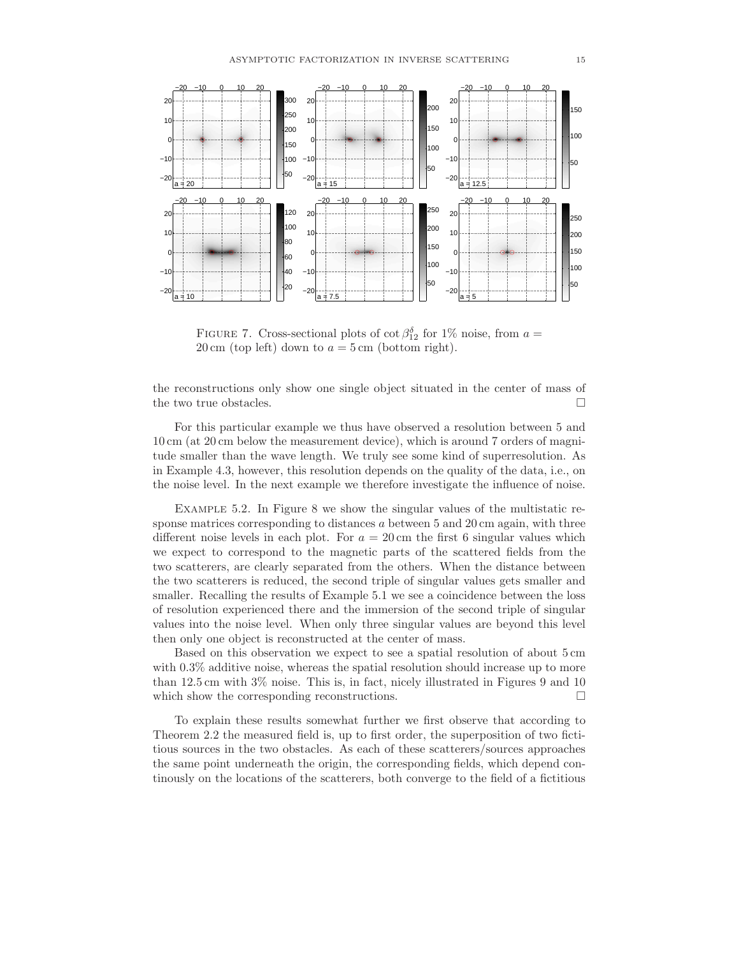

FIGURE 7. Cross-sectional plots of  $\cot \beta_{12}^{\delta}$  for 1% noise, from  $a =$  $20 \text{ cm}$  (top left) down to  $a = 5 \text{ cm}$  (bottom right).

the reconstructions only show one single object situated in the center of mass of the two true obstacles.  $\Box$ 

For this particular example we thus have observed a resolution between 5 and 10 cm (at 20 cm below the measurement device), which is around 7 orders of magnitude smaller than the wave length. We truly see some kind of superresolution. As in Example 4.3, however, this resolution depends on the quality of the data, i.e., on the noise level. In the next example we therefore investigate the influence of noise.

Example 5.2. In Figure 8 we show the singular values of the multistatic response matrices corresponding to distances  $a$  between 5 and 20 cm again, with three different noise levels in each plot. For  $a = 20$  cm the first 6 singular values which we expect to correspond to the magnetic parts of the scattered fields from the two scatterers, are clearly separated from the others. When the distance between the two scatterers is reduced, the second triple of singular values gets smaller and smaller. Recalling the results of Example 5.1 we see a coincidence between the loss of resolution experienced there and the immersion of the second triple of singular values into the noise level. When only three singular values are beyond this level then only one object is reconstructed at the center of mass.

Based on this observation we expect to see a spatial resolution of about 5 cm with  $0.3\%$  additive noise, whereas the spatial resolution should increase up to more than 12.5 cm with 3% noise. This is, in fact, nicely illustrated in Figures 9 and 10 which show the corresponding reconstructions.  $\Box$ 

To explain these results somewhat further we first observe that according to Theorem 2.2 the measured field is, up to first order, the superposition of two fictitious sources in the two obstacles. As each of these scatterers/sources approaches the same point underneath the origin, the corresponding fields, which depend continously on the locations of the scatterers, both converge to the field of a fictitious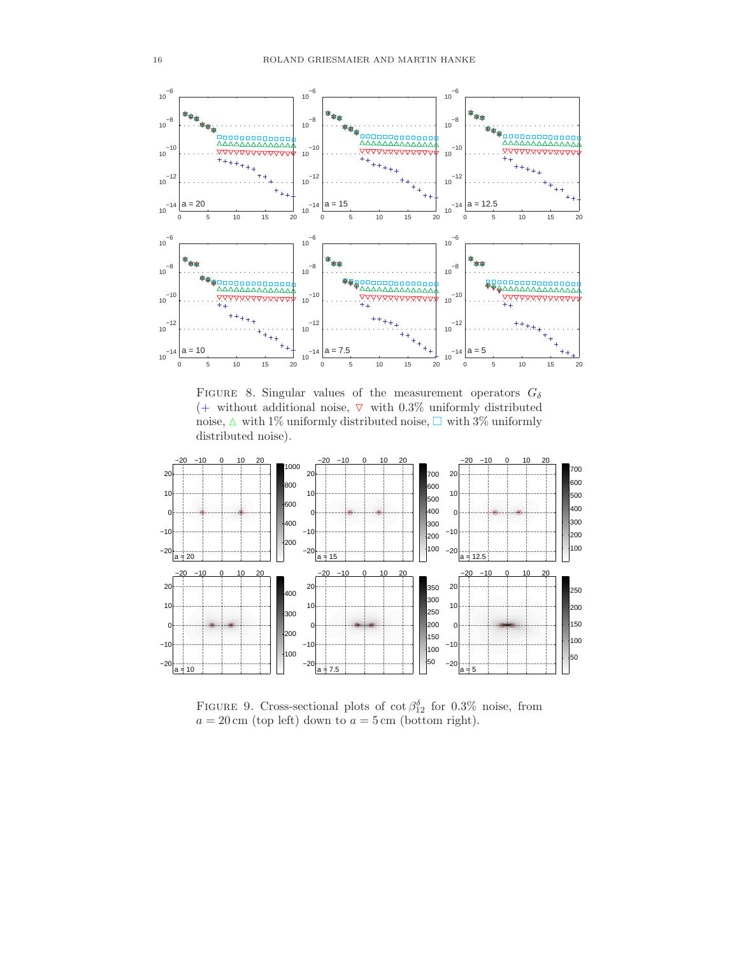

FIGURE 8. Singular values of the measurement operators  $G_{\delta}$ (+ without additional noise,  $\nabla$  with 0.3% uniformly distributed noise,  $\Delta$  with 1% uniformly distributed noise,  $\Box$  with 3% uniformly distributed noise).



FIGURE 9. Cross-sectional plots of  $\cot \beta_{12}^{\delta}$  for 0.3% noise, from  $a = 20 \,\text{cm}$  (top left) down to  $a = 5 \,\text{cm}$  (bottom right).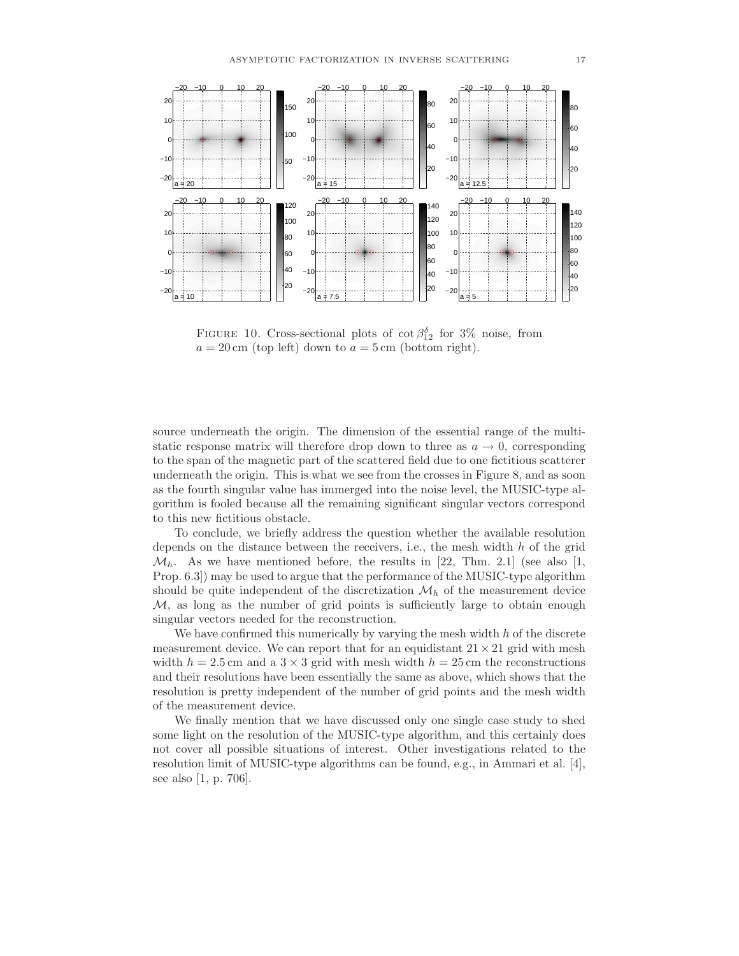

FIGURE 10. Cross-sectional plots of  $\cot \beta_{12}^{\delta}$  for 3% noise, from  $a = 20 \text{ cm}$  (top left) down to  $a = 5 \text{ cm}$  (bottom right).

source underneath the origin. The dimension of the essential range of the multistatic response matrix will therefore drop down to three as  $a \to 0$ , corresponding to the span of the magnetic part of the scattered field due to one fictitious scatterer underneath the origin. This is what we see from the crosses in Figure 8, and as soon as the fourth singular value has immerged into the noise level, the MUSIC-type algorithm is fooled because all the remaining significant singular vectors correspond to this new fictitious obstacle.

To conclude, we briefly address the question whether the available resolution depends on the distance between the receivers, i.e., the mesh width  $h$  of the grid  $\mathcal{M}_h$ . As we have mentioned before, the results in [22, Thm. 2.1] (see also [1, Prop. 6.3]) may be used to argue that the performance of the MUSIC-type algorithm should be quite independent of the discretization  $\mathcal{M}_h$  of the measurement device  $M$ , as long as the number of grid points is sufficiently large to obtain enough singular vectors needed for the reconstruction.

We have confirmed this numerically by varying the mesh width  $h$  of the discrete measurement device. We can report that for an equidistant  $21 \times 21$  grid with mesh width  $h = 2.5$  cm and a  $3 \times 3$  grid with mesh width  $h = 25$  cm the reconstructions and their resolutions have been essentially the same as above, which shows that the resolution is pretty independent of the number of grid points and the mesh width of the measurement device.

We finally mention that we have discussed only one single case study to shed some light on the resolution of the MUSIC-type algorithm, and this certainly does not cover all possible situations of interest. Other investigations related to the resolution limit of MUSIC-type algorithms can be found, e.g., in Ammari et al. [4], see also [1, p. 706].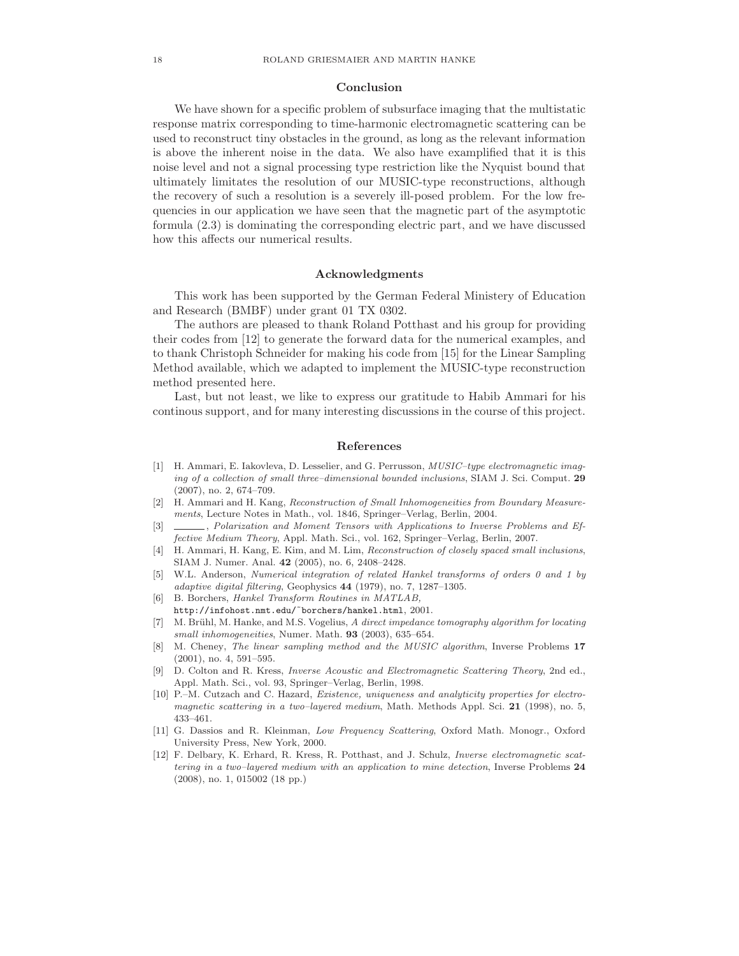# Conclusion

We have shown for a specific problem of subsurface imaging that the multistatic response matrix corresponding to time-harmonic electromagnetic scattering can be used to reconstruct tiny obstacles in the ground, as long as the relevant information is above the inherent noise in the data. We also have examplified that it is this noise level and not a signal processing type restriction like the Nyquist bound that ultimately limitates the resolution of our MUSIC-type reconstructions, although the recovery of such a resolution is a severely ill-posed problem. For the low frequencies in our application we have seen that the magnetic part of the asymptotic formula (2.3) is dominating the corresponding electric part, and we have discussed how this affects our numerical results.

# Acknowledgments

This work has been supported by the German Federal Ministery of Education and Research (BMBF) under grant 01 TX 0302.

The authors are pleased to thank Roland Potthast and his group for providing their codes from [12] to generate the forward data for the numerical examples, and to thank Christoph Schneider for making his code from [15] for the Linear Sampling Method available, which we adapted to implement the MUSIC-type reconstruction method presented here.

Last, but not least, we like to express our gratitude to Habib Ammari for his continous support, and for many interesting discussions in the course of this project.

## References

- [1] H. Ammari, E. Iakovleva, D. Lesselier, and G. Perrusson, *MUSIC–type electromagnetic imaging of a collection of small three–dimensional bounded inclusions*, SIAM J. Sci. Comput. 29 (2007), no. 2, 674–709.
- [2] H. Ammari and H. Kang, *Reconstruction of Small Inhomogeneities from Boundary Measurements*, Lecture Notes in Math., vol. 1846, Springer–Verlag, Berlin, 2004.
- [3] , *Polarization and Moment Tensors with Applications to Inverse Problems and Effective Medium Theory*, Appl. Math. Sci., vol. 162, Springer–Verlag, Berlin, 2007.
- [4] H. Ammari, H. Kang, E. Kim, and M. Lim, *Reconstruction of closely spaced small inclusions*, SIAM J. Numer. Anal. 42 (2005), no. 6, 2408–2428.
- [5] W.L. Anderson, *Numerical integration of related Hankel transforms of orders 0 and 1 by adaptive digital filtering*, Geophysics 44 (1979), no. 7, 1287–1305.
- [6] B. Borchers, *Hankel Transform Routines in MATLAB,* http://infohost.nmt.edu/˜borchers/hankel.html, 2001.
- [7] M. Brühl, M. Hanke, and M.S. Vogelius, *A direct impedance tomography algorithm for locating small inhomogeneities*, Numer. Math. 93 (2003), 635–654.
- [8] M. Cheney, *The linear sampling method and the MUSIC algorithm*, Inverse Problems 17 (2001), no. 4, 591–595.
- [9] D. Colton and R. Kress, *Inverse Acoustic and Electromagnetic Scattering Theory*, 2nd ed., Appl. Math. Sci., vol. 93, Springer–Verlag, Berlin, 1998.
- [10] P.–M. Cutzach and C. Hazard, *Existence, uniqueness and analyticity properties for electromagnetic scattering in a two–layered medium*, Math. Methods Appl. Sci. 21 (1998), no. 5, 433–461.
- [11] G. Dassios and R. Kleinman, *Low Frequency Scattering*, Oxford Math. Monogr., Oxford University Press, New York, 2000.
- [12] F. Delbary, K. Erhard, R. Kress, R. Potthast, and J. Schulz, *Inverse electromagnetic scattering in a two–layered medium with an application to mine detection*, Inverse Problems 24 (2008), no. 1, 015002 (18 pp.)